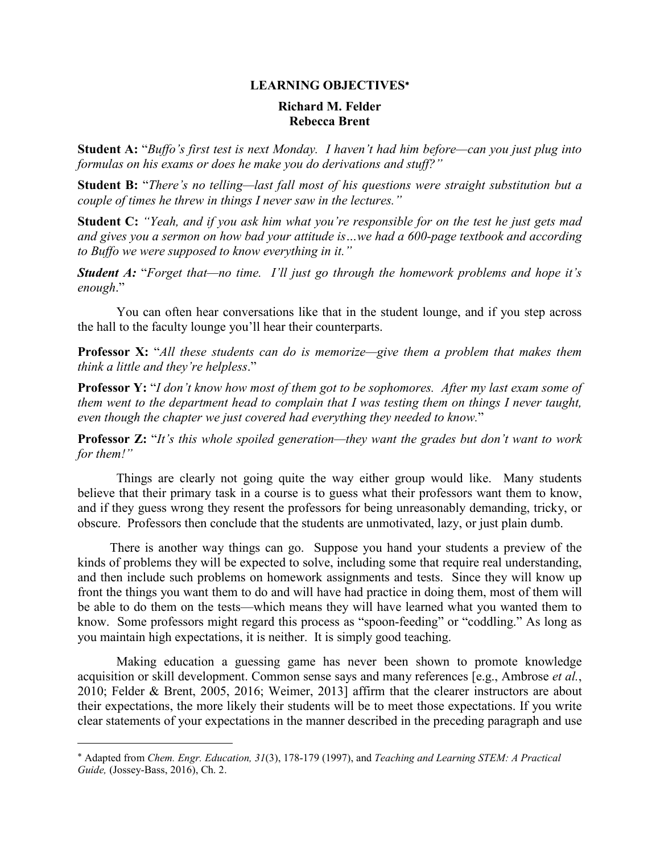# **Richard M. Felder Rebecca Brent**

**Student A:** "*Buffo's first test is next Monday. I haven't had him before—can you just plug into formulas on his exams or does he make you do derivations and stuff?"*

 **Student B:** "*There's no telling—last fall most of his questions were straight substitution but a couple of times he threw in things I never saw in the lectures."*

 **Student C:** *"Yeah, and if you ask him what you're responsible for on the test he just gets mad and gives you a sermon on how bad your attitude is…we had a 600-page textbook and according*  telling—last fall most of his questions were straight substitution<br>in things I never saw in the lectures."<br>if you ask him what you're responsible for on the test he just get<br>on how bad your attitude is...we had a 600-page *to Buffo we were supposed to know everything in it."* 

 *Student A:* "*Forget that—no time. I'll just go through the homework problems and hope it's enough*."

 You can often hear conversations like that in the student lounge, and if you step across the hall to the faculty lounge you'll hear their counterparts.

 **Professor X:** "*All these students can do is memorize—give them a problem that makes them think a little and they're helpless*."

 **Professor Y:** "*I don't know how most of them got to be sophomores. After my last exam some of them went to the department head to complain that I was testing them on things I never taught, even though the chapter we just covered had everything they needed to know.*"

 **Professor Z:** "*It's this whole spoiled generation—they want the grades but don't want to work for them!"*

 Things are clearly not going quite the way either group would like. Many students believe that their primary task in a course is to guess what their professors want them to know, and if they guess wrong they resent the professors for being unreasonably demanding, tricky, or whole spoiled generation—they want the grad<br>ly not going quite the way either group we<br>y task in a course is to guess what their profe<br>they resent the professors for being unreasons<br>n conclude that the students are unmotiv obscure. Professors then conclude that the students are unmotivated, lazy, or just plain dumb.

 kinds of problems they will be expected to solve, including some that require real understanding, kinds of problems they will be expected to solve, including some that require real understanding, and then include such problems on homework assignments and tests. Since they will know up front the things you want them to do and will have had practice in doing them, most of them will know. Some professors might regard this process as "spoon-feeding" or "coddling." As long as you maintain high expectations, it is neither. It is simply good teaching. ont the things you want them to do and will have had practice in doin<br>able to do them on the tests—which means they will have learned<br>ow. Some professors might regard this process as "spoon-feeding"<br>u maintain high expecta **LEARNING OBJECTIVES**<br> **Richard M. Felder**<br> **Richard M. Felder**<br> **Richard M. Felder**<br> **Richard M. Felder**<br> **LEARNING ORDER INDER TO THE TOTAL CONDITION**<br> **LEARNING TO THE ACT AND THE AND THE AND THE AND THE AND THE AND THE** There is another way things can go. Suppose you hand your students a preview of the be able to do them on the tests—which means they will have learned what you wanted them to

 Making education a guessing game has never been shown to promote knowledge acquisition or skill development. Common sense says and many references [e.g., Ambrose *et al.*, 2010; Felder & Brent, 2005, 2016; Weimer, 2013] affirm that the clearer instructors are about their expectations, the more likely their students will be to meet those expectations. If you write clear statements of your expectations in the manner described in the preceding paragraph and use

Adapted from *Chem. Engr. Education, 31*(3), 178-179 (1997), and *Teaching and Learning STEM: A Practical Guide,* (Jossey-Bass, 2016), Ch. 2.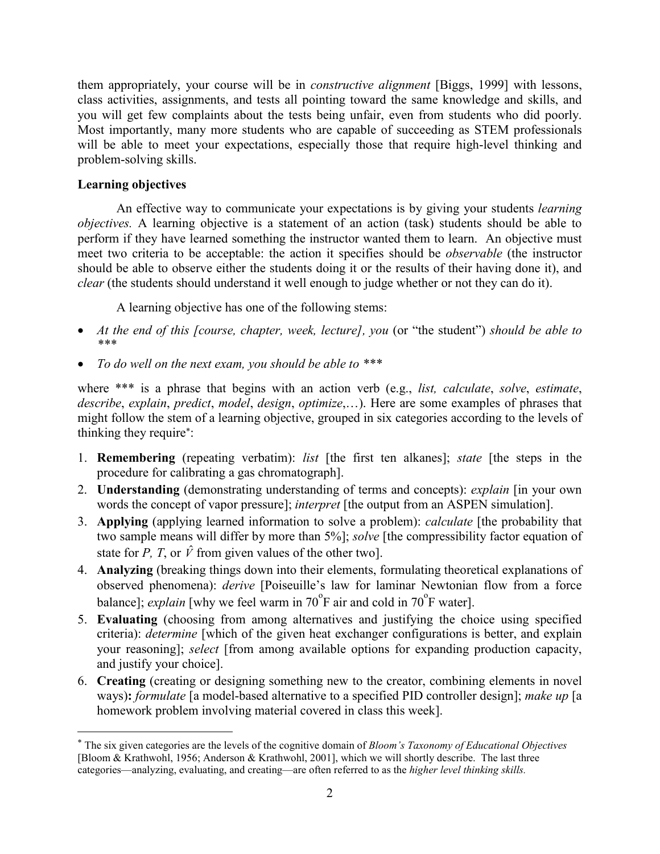them appropriately, your course will be in *constructive alignment* [Biggs, 1999] with lessons, you will get few complaints about the tests being unfair, even from students who did poorly. Most importantly, many more students who are capable of succeeding as STEM professionals will be able to meet your expectations, especially those that require high-level thinking and will be able to meet<br>problem-solving skills. r course will be in *constru*<br>ents, and tests all pointing<br>aints about the tests being<br>more students who are ca class activities, assignments, and tests all pointing toward the same knowledge and skills, and

## **Learning objectives**

 An effective way to communicate your expectations is by giving your students *learning objectives.* A learning objective is a statement of an action (task) students should be able to perform if they have learned something the instructor wanted them to learn. An objective must meet two criteria to be acceptable: the action it specifies should be *observable* (the instructor should be able to observe either the students doing it or the results of their having done it), and An effective way to communicate your expectations is by giving your students *l* bjectives. A learning objective is a statement of an action (task) students should be erform if they have learned something the instructor w them uppropriately, your course will be in *constructive* alignment (Biggs, 1999) with lessons activities, assignments, and tests heli punifir, even from sultants. who did porty, who stay that the tests hening their correl *clear* (the students should understand it well enough to judge whether or not they can do it).

A learning objective has one of the following stems:

- *At the end of this [course, chapter, week, lecture], you* (or "the student") *should be able to \*\*\**
- *To do well on the next exam, you should be able to \*\*\**

 where \*\*\* is a phrase that begins with an action verb (e.g., *list, calculate*, *solve*, *estimate*, *describe*, *explain*, *predict*, *model*, *design*, *optimize*,…). Here are some examples of phrases that *n, predict, model, design, optimize,...).* Here stem of a learning objective, grouped in six cuire\*:<br>quire\*:<br>ng (repeating verbatim): *list* [the first ten might follow the stem of a learning objective, grouped in six categories according to the levels of thinking they require\*:

- 1. **Remembering** (repeating verbatim): *list* [the first ten alkanes]; *state* [the steps in the procedure for calibrating a gas chromatograph].
- calibrating a gas chromatograph].<br> **ng** (demonstrating understanding<br>
ncept of vapor pressure]; *interpret* 2. **Understanding** (demonstrating understanding of terms and concepts): *explain* [in your own words the concept of vapor pressure]; *interpret* [the output from an ASPEN simulation].
- 3. **Applying** (applying learned information to solve a problem): *calculate* [the probability that **Applying** (applying learned information to two sample means will differ by more than  $\sharp$  state for *P*, *T*, or  $\hat{V}$  from given values of the **Analyzing** (breaking things down into their two sample means will differ by more than 5%]; *solve* [the compressibility factor equation of state for *P*, *T*, or  $\hat{V}$  from given values of the other two].
- 4. **Analyzing** (breaking things down into their elements, formulating theoretical explanations of observed phenomena): *derive* [Poiseuille's law for laminar Newtonian flow from a force I phenomena): *derive* [Poiseuille's law; *explain* [why we feel warm in 70 $^{\circ}$ F air *a* **ing** (choosing from among alternatives *determine* [which of the given heat exc balance]; *explain* [why we feel warm in  $70^{\circ}$ F air and cold in  $70^{\circ}$ F water].
- 5. **Evaluating** (choosing from among alternatives and justifying the choice using specified criteria): *determine* [which of the given heat exchanger configurations is better, and explain your reasoning]; *select* [from among available options for expanding production capacity, and justify your choice].
- 6. **Creating** (creating or designing something new to the creator, combining elements in novel ways)**:** *formulate* [a model-based alternative to a specified PID controller design]; *make up* [a homework problem involving material covered in class this week].

 [Bloom & Krathwohl, 1956; Anderson & Krathwohl, 2001], which we will shortly describe. The last three \* The six given categories are the levels of the cognitive domain of *Bloom's Taxonomy of Educational Objectives* categories—analyzing, evaluating, and creating—are often referred to as the *higher level thinking skills.*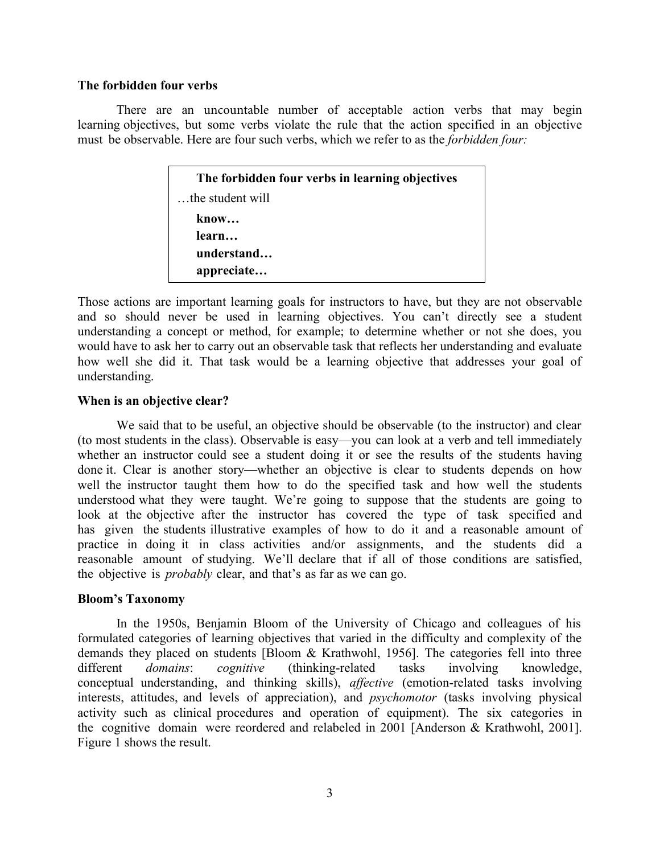### **The forbidden four verbs**

There are an uncountable number of acceptable action verbs that may begin learning objectives, but some verbs violate the rule that the action specified in an objective must be observable. Here are four such verbs, which we refer to as the *forbidden four:* 

> **The forbidden four verbs in learning objectives** …the student will **know… learn… understand… appreciate…**

 Those actions are important learning goals for instructors to have, but they are not observable and so should never be used in learning objectives. You can't directly see a student understanding a concept or method, for example; to determine whether or not she does, you how well she did it. That task would be a learning objective that addresses your goal of erstanding<br>ld have to<br>well she would have to ask her to carry out an observable task that reflects her understanding and evaluate understanding.

### **When is an objective clear?**

 We said that to be useful, an objective should be observable (to the instructor) and clear look at the objective after the instructor has covered the type of task specified and (to most students in the class). Observable is easy—you can look at a verb and tell immediately whether an instructor could see a student doing it or see the results of the students having done it. Clear is another story—whether an objective is clear to students depends on how well the instructor taught them how to do the specified task and how well the students understood what they were taught. We're going to suppose that the students are going to has given the students illustrative examples of how to do it and a reasonable amount of practice in doing it in class activities and/or assignments, and the students did a reasonable amount of studying. We'll declare that if all of those conditions are satisfied, the objective is *probably* clear, and that's as far as we can go.

### **Bloom's Taxonomy**

 In the 1950s, Benjamin Bloom of the University of Chicago and colleagues of his demands they placed on students [Bloom & Krathwohl, 1956]. The categories fell into three formulated categories of learning objectives that varied in the difficulty and complexity of the interests, attitudes, and levels of appreciation), and *psychomotor* (tasks involving physical different *domains*: *cognitive* (thinking-related tasks involving knowledge, conceptual understanding, and thinking skills), *affective* (emotion-related tasks involving activity such as clinical procedures and operation of equipment). The six categories in the cognitive domain were reordered and relabeled in 2001 [Anderson & Krathwohl, 2001]. Figure 1 shows the result.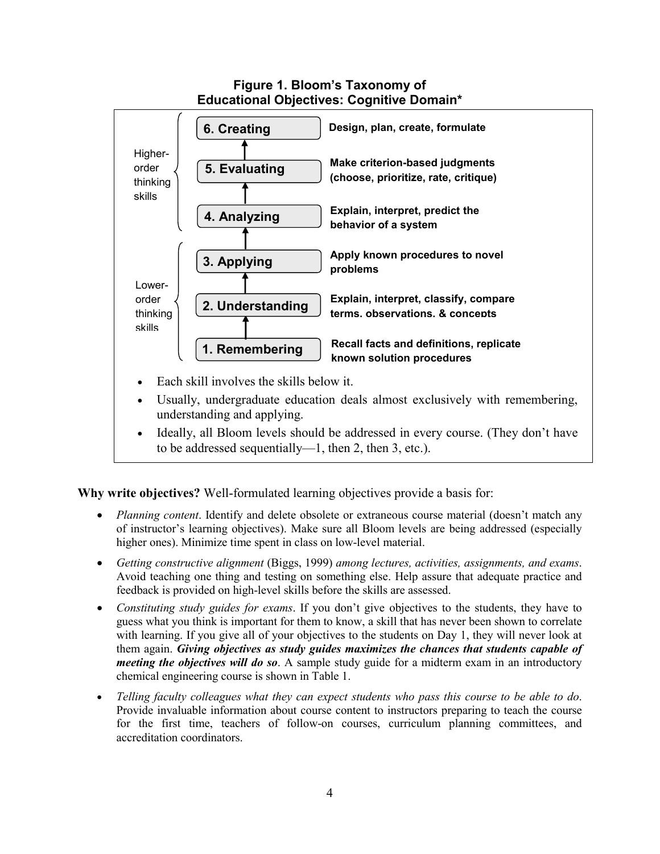

**Why write objectives?** Well-formulated learning objectives provide a basis for:

- *Planning content*. Identify and delete obsolete or extraneous course material (doesn't match any of instructor's learning objectives). Make sure all Bloom levels are being addressed (especially higher ones). Minimize time spent in class on low-level material.
- Avoid teaching one thing and testing on something else. Help assure that adequate practice and one thing<br>vided on high<br>*udy guides Getting constructive alignment* (Biggs, 1999) *among lectures, activities, assignments, and exams*. feedback is provided on high-level skills before the skills are assessed.
- *Constituting study guides for exams*. If you don't give objectives to the students, they have to guess what you think is important for them to know, a skill that has never been shown to correlate *meeting the objectives will do so*. A sample study guide for a midterm exam in an introductory chemical engineering course is shown in Table 1. er been shown to<br>1, they will neve<br>5 that students ca<br>n exam in an intr with learning. If you give all of your objectives to the students on Day 1, they will never look at them again. *Giving objectives as study guides maximizes the chances that students capable of*
- *Telling faculty colleagues what they can expect students who pass this course to be able to do*. for the first time, teachers of follow-on courses, curriculum planning committees, and Provide invaluable information about course content to instructors preparing to teach the course accreditation coordinators.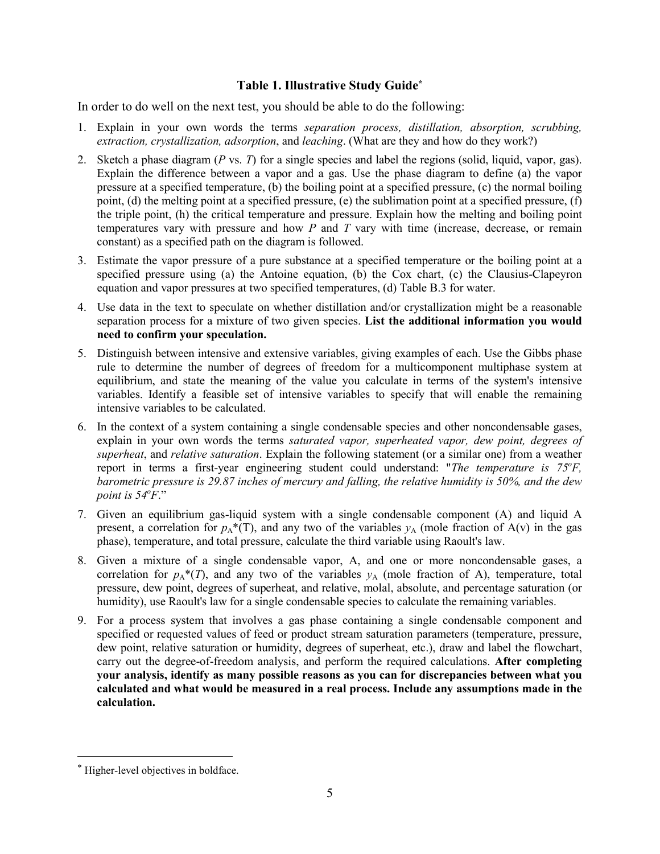In order to do well on the next test, you should be able to do the following:

- 1. Explain in your own words the terms *separation process, distillation, absorption, scrubbing, extraction, crystallization, adsorption*, and *leaching*. (What are they and how do they work?)
- 2. Sketch a phase diagram (*P* vs. *T*) for a single species and label the regions (solid, liquid, vapor, gas). Explain the difference between a vapor and a gas. Use the phase diagram to define (a) the vapor pressure at a specified temperature, (b) the boiling point at a specified pressure, (c) the normal boiling the triple point, (h) the critical temperature and pressure. Explain how the melting and boiling point Explain the difference between a vapor and a gas. Use the phase diagram to define (a) the vapor pressure at a specified temperature, (b) the boiling point at a specified pressure, (c) the normal boiling point, (d) the mel **Table 1. Illustrative Study Guide<sup>\*</sup><br>
Table 1. Illustrative Study Guide<sup>\*</sup><br>
to do well on the next test, you should be able to do the following:<br>
tim in your own words the terms** *separation process***,** *distillation***,** *abs* point, (d) the melting point at a specified pressure, (e) the sublimation point at a specified pressure, (f) constant) as a specified path on the diagram is followed.
- 3. Estimate the vapor pressure of a pure substance at a specified temperature or the boiling point at a specified pressure using (a) the Antoine equation, (b) the Cox chart, (c) the Clausius-Clapeyron Estimate the vapor pressure of a pure substance at a specified temperature or the boiling point at a specified pressure using (a) the Antoine equation, (b) the Cox chart, (c) the Clausius-Clapeyron equation and vapor press equation and vapor pressures at two specified temperatures, (d) Table B.3 for water.
- 4. Use data in the text to speculate on whether distillation and/or crystallization might be a reasonable **need to confirm your speculation.**
- rule to determine the number of degrees of freedom for a multicomponent multiphase system at equilibrium, and state the meaning of the value you calculate in terms of the system's intensive variables. Identify a feasible set of intensive variables to specify that will enable the remaining rule to determine the number of degrees of freedom for a multicomponent multiphase system at equilibrium, and state the meaning of the value you calculate in terms of the system's intensive variables. Identify a feasible s 5. Distinguish between intensive and extensive variables, giving examples of each. Use the Gibbs phase intensive variables to be calculated.
- *superheat*, and *relative saturation*. Explain the following statement (or a similar one) from a weather report in terms a first-year engineering student could understand: "The temperature is 75°F, explain in your own words the terms *saturated vapor, superheated vapor, dew point, degrees of barometric pressure is 29.87 inches of mercury and falling, the relative humidity is 50%, and the dew point is 54o F*."
- 7. Given an equilibrium gas-liquid system with a single condensable component (A) and liquid A present, a correlation for  $p_A^*(T)$ , and any two of the variables  $y_A$  (mole fraction of A(v) in the gas phase), temperature, and total pressure, calculate the third variable using Raoult's law.
- correlation for  $p_A^*(T)$ , and any two of the variables  $y_A$  (mole fraction of A), temperature, total 8. Given a mixture of a single condensable vapor, A, and one or more noncondensable gases, a pressure, dew point, degrees of superheat, and relative, molal, absolute, and percentage saturation (or humidity), use Raoult's law for a single condensable species to calculate the remaining variables.
- dew point, relative saturation or humidity, degrees of superheat, etc.), draw and label the flowchart, carry out the degree-of-freedom analysis, and perform the required calculations. **After completing calculated and what would be measured in a real process. Include any assumptions made in the** 9. For a process system that involves a gas phase containing a single condensable component and specified or requested values of feed or product stream saturation parameters (temperature, pressure, **your analysis, identify as many possible reasons as you can for discrepancies between what you calculation.**

 $\overline{a}$ 

<sup>\*</sup> Higher-level objectives in boldface.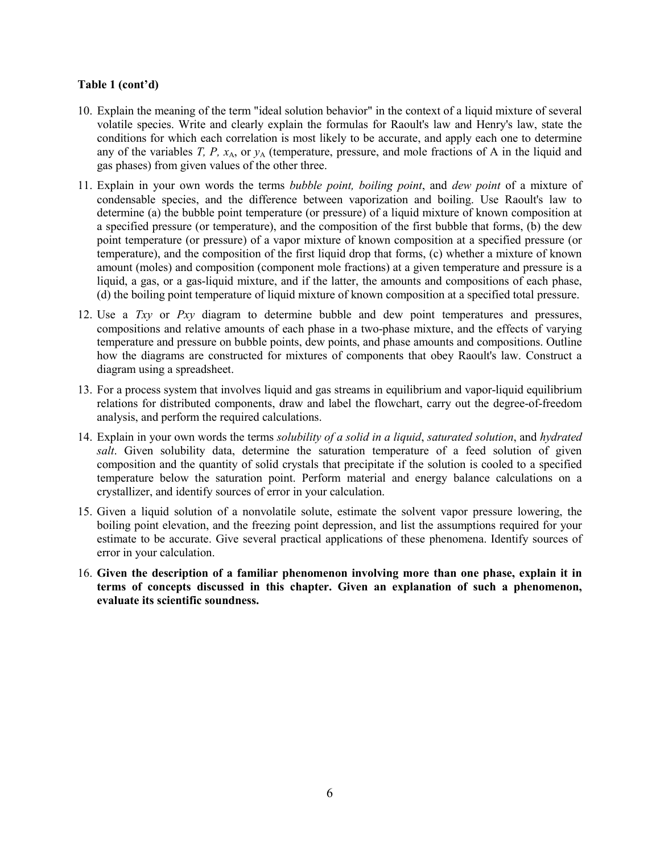- 10. Explain the meaning of the term "ideal solution behavior" in the context of a liquid mixture of several any of the variables *T, P, x*A, or *y*<sup>A</sup> (temperature, pressure, and mole fractions of A in the liquid and of the term "ideal solution behavior" in the context of a lid<br>ite and clearly explain the formulas for Raoult's law and<br>a each correlation is most likely to be accurate, and apply<br> $T$ ,  $P$ ,  $x_A$ , or  $y_A$  (temperature, pre volatile species. Write and clearly explain the formulas for Raoult's law and Henry's law, state the conditions for which each correlation is most likely to be accurate, and apply each one to determine gas phases) from given values of the other three.
- condensable species, and the difference between vaporization and boiling. Use Raoult's law to a specified pressure (or temperature), and the composition of the first bubble that forms, (b) the dew amount (moles) and composition (component mole fractions) at a given temperature and pressure is a liquid, a gas, or a gas-liquid mixture, and if the latter, the amounts and compositions of each phase, condensable species, and the difference between vaporization and boiling. Use Raoult's law t<br>determine (a) the bubble point temperature (or pressure) of a liquid mixture of known composition a<br>a specified pressure (or tem **Table 1 (cont'd)**<br>
10. Explain the meaning of the term "ideal solution behavior" in the context of a liquid<br>
coludions for which each correlation is most likely to be accurate, and apply eac<br>
conditions for which each co 11. Explain in your own words the terms *bubble point, boiling point*, and *dew point* of a mixture of determine (a) the bubble point temperature (or pressure) of a liquid mixture of known composition at point temperature (or pressure) of a vapor mixture of known composition at a specified pressure (or temperature), and the composition of the first liquid drop that forms, (c) whether a mixture of known (d) the boiling point temperature of liquid mixture of known composition at a specified total pressure.
- 12. Use a *Txy* or *Pxy* diagram to determine bubble and dew point temperatures and pressures, compositions and relative amounts of each phase in a two-phase mixture, and the effects of varying how the diagrams are constructed for mixtures of components that obey Raoult's law. Construct a 13. For a process system that involves liquid and gas streams in equilibrium and vapor-liquid equilibrium and vapor-liquid equilibrium temperature and pressure on bubble points, dew points, and phase amounts and compositions. Outline diagram using a spreadsheet.
- relations for distributed components, draw and label the flowchart, carry out the degree-of-freedom analysis, and perform the required calculations.
- temperature below the saturation point. Perform material and energy balance calculations on a 14. Explain in your own words the terms *solubility of a solid in a liquid*, *saturated solution*, and *hydrated salt*. Given solubility data, determine the saturation temperature of a feed solution of given composition and the quantity of solid crystals that precipitate if the solution is cooled to a specified crystallizer, and identify sources of error in your calculation.
- estimate to be accurate. Give several practical applications of these phenomena. Identify sources of 15. Given a liquid solution of a nonvolatile solute, estimate the solvent vapor pressure lowering, the boiling point elevation, and the freezing point depression, and list the assumptions required for your error in your calculation.
- 16. **Given the description of a familiar phenomenon involving more than one phase, explain it in terms of concepts discussed in this chapter. Given an explanation of such a phenomenon, evaluate its scientific soundness.**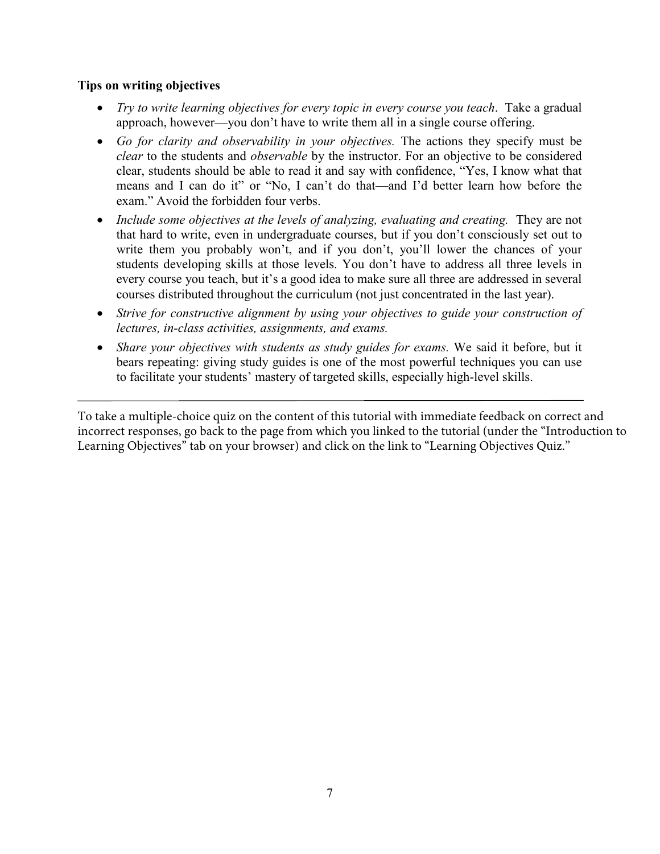## **Tips on writing objectives**

- *Try to write learning objectives for every topic in every course you teach*. Take a gradual *Go for clarity to write learning objectives for every topic in every course you teach. Take a gradual approach, however—you don't have to write them all in a single course offering.<br> Go <i>for clarity and observability* approach, however—you don't have to write them all in a single course offering.
- *clear* to the students and *observable* by the instructor. For an objective to be considered means and I can do it" or "No, I can't do that—and I'd better learn how before the to the students and<br>, students should be<br>
is and I can do it" clear, students should be able to read it and say with confidence, "Yes, I know what that exam." Avoid the forbidden four verbs.
- Include some *objectives at the levels of analyzing, evaluating and creating.* They are not write them you probably won't, and if you don't, you'll lower the chances of your every course you teach, but it's a good idea to make sure all three are addressed in several that hard to write, even in undergraduate courses, but if you don't consciously set out to write them you probably won't, and if you don't, you'll lower the chances of your<br>students developing skills at those levels. You don't have to address all three levels in every course you teach, but it's a good idea to make sure all three are addressed in se<br>courses distributed throughout the curriculum (not just concentrated in the last year).
- *Strive for constructive alignment by using your objectives to guide your construction of lectures, in-class activities, assignments, and exams.*
- bears repeating: giving study guides is one of the most powerful techniques you can use *Share your objectives with students as study guides for exams.* We said it before, but it to facilitate your students' mastery of targeted skills, especially high-level skills.

To take a multiple-choice quiz on the content of this tutorial with immediate feedback on correct and incorrect responses, go back to the page from which you linked to the tutorial (under the "Introduction to Lea[rning Objectives" tab on your browser\) and click on the link to "Learning Objectives Quiz.](https://www.engr.ncsu.edu/stem-resources/legacy-articles/education/learning-objectives-intro/)"